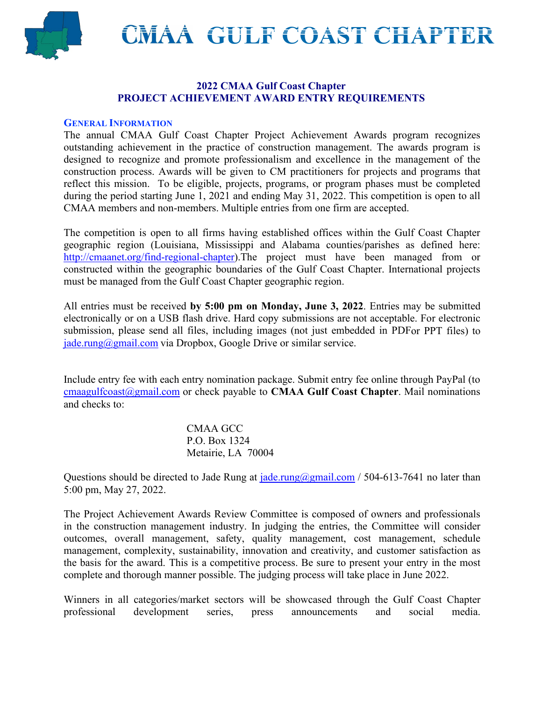**GULF COAST CHAPTER**



#### **2022 CMAA Gulf Coast Chapter PROJECT ACHIEVEMENT AWARD ENTRY REQUIREMENTS**

#### **GENERAL INFORMATION**

The annual CMAA Gulf Coast Chapter Project Achievement Awards program recognizes outstanding achievement in the practice of construction management. The awards program is designed to recognize and promote professionalism and excellence in the management of the construction process. Awards will be given to CM practitioners for projects and programs that reflect this mission. To be eligible, projects, programs, or program phases must be completed during the period starting June 1, 2021 and ending May 31, 2022. This competition is open to all CMAA members and non-members. Multiple entries from one firm are accepted.

The competition is open to all firms having established offices within the Gulf Coast Chapter geographic region (Louisiana, Mississippi and Alabama counties/parishes as defined here: [http://cmaanet.org/find-regional-chapter\)](http://cmaanet.org/find-regional-chapter).The project must have been managed from or constructed within the geographic boundaries of the Gulf Coast Chapter. International projects must be managed from the Gulf Coast Chapter geographic region.

All entries must be received **by 5:00 pm on Monday, June 3, 2022**. Entries may be submitted electronically or on a USB flash drive. Hard copy submissions are not acceptable. For electronic submission, please send all files, including images (not just embedded in PDFor PPT files) to [jade.rung@gmail.com](mailto:jade.rung@gmail.com) via Dropbox, Google Drive or similar service.

Include entry fee with each entry nomination package. Submit entry fee online through PayPal (to [cmaagulfcoast@gmail.com](mailto:cmaagulfcoast@gmail.com) or check payable to **CMAA Gulf Coast Chapter**. Mail nominations and checks to:

> CMAA GCC P.O. Box 1324 Metairie, LA 70004

Questions should be directed to Jade Rung at  $i$  ade.rung@gmail.com / 504-613-7641 no later than 5:00 pm, May 27, 2022.

The Project Achievement Awards Review Committee is composed of owners and professionals in the construction management industry. In judging the entries, the Committee will consider outcomes, overall management, safety, quality management, cost management, schedule management, complexity, sustainability, innovation and creativity, and customer satisfaction as the basis for the award. This is a competitive process. Be sure to present your entry in the most complete and thorough manner possible. The judging process will take place in June 2022.

Winners in all categories/market sectors will be showcased through the Gulf Coast Chapter professional development series, press announcements and social media.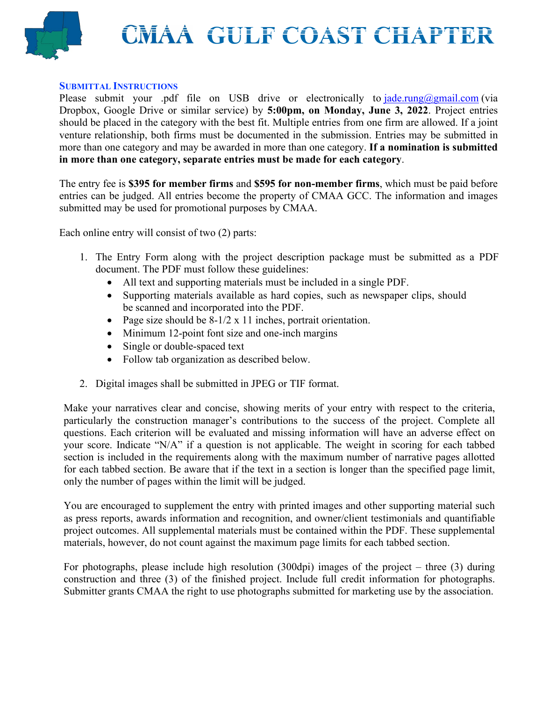# **GULF COAST CHAPTER**



#### **SUBMITTAL INSTRUCTIONS**

Please submit your .pdf file on USB drive or electronically to  $\text{ad}e.\text{rung}(\theta)$ gmail.com (via Dropbox, Google Drive or similar service) by **5:00pm, on Monday, June 3, 2022**. Project entries should be placed in the category with the best fit. Multiple entries from one firm are allowed. If a joint venture relationship, both firms must be documented in the submission. Entries may be submitted in more than one category and may be awarded in more than one category. **If a nomination is submitted in more than one category, separate entries must be made for each category**.

The entry fee is **\$395 for member firms** and **\$595 for non-member firms**, which must be paid before entries can be judged. All entries become the property of CMAA GCC. The information and images submitted may be used for promotional purposes by CMAA.

Each online entry will consist of two (2) parts:

- 1. The Entry Form along with the project description package must be submitted as a PDF document. The PDF must follow these guidelines:
	- All text and supporting materials must be included in a single PDF.
	- Supporting materials available as hard copies, such as newspaper clips, should be scanned and incorporated into the PDF.
	- Page size should be 8-1/2 x 11 inches, portrait orientation.
	- Minimum 12-point font size and one-inch margins
	- Single or double-spaced text
	- Follow tab organization as described below.
- 2. Digital images shall be submitted in JPEG or TIF format.

Make your narratives clear and concise, showing merits of your entry with respect to the criteria, particularly the construction manager's contributions to the success of the project. Complete all questions. Each criterion will be evaluated and missing information will have an adverse effect on your score. Indicate "N/A" if a question is not applicable. The weight in scoring for each tabbed section is included in the requirements along with the maximum number of narrative pages allotted for each tabbed section. Be aware that if the text in a section is longer than the specified page limit, only the number of pages within the limit will be judged.

You are encouraged to supplement the entry with printed images and other supporting material such as press reports, awards information and recognition, and owner/client testimonials and quantifiable project outcomes. All supplemental materials must be contained within the PDF. These supplemental materials, however, do not count against the maximum page limits for each tabbed section.

For photographs, please include high resolution (300dpi) images of the project – three (3) during construction and three (3) of the finished project. Include full credit information for photographs. Submitter grants CMAA the right to use photographs submitted for marketing use by the association.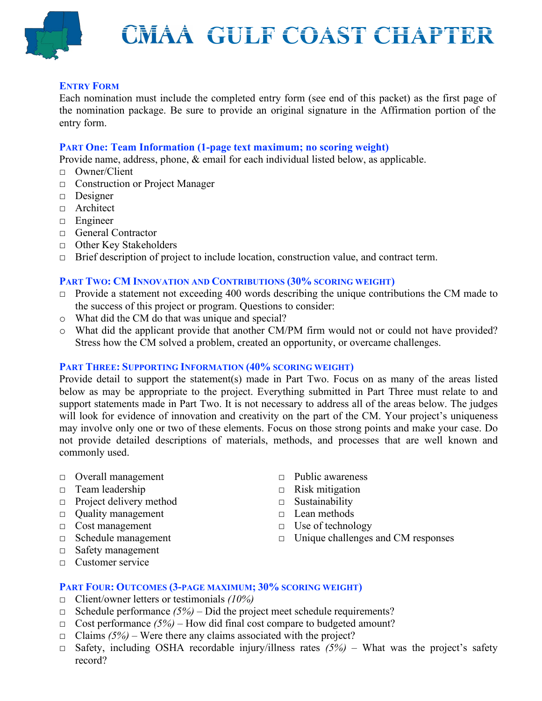

#### **ENTRY FORM**

Each nomination must include the completed entry form (see end of this packet) as the first page of the nomination package. Be sure to provide an original signature in the Affirmation portion of the entry form.

#### **PART One: Team Information (1-page text maximum; no scoring weight)**

Provide name, address, phone, & email for each individual listed below, as applicable.

- □ Owner/Client
- □ Construction or Project Manager
- □ Designer
- □ Architect
- □ Engineer
- □ General Contractor
- □ Other Key Stakeholders
- $\Box$  Brief description of project to include location, construction value, and contract term.

#### **PART TWO: CM INNOVATION AND CONTRIBUTIONS (30% SCORING WEIGHT)**

- $\Box$  Provide a statement not exceeding 400 words describing the unique contributions the CM made to the success of this project or program. Questions to consider:
- o What did the CM do that was unique and special?
- o What did the applicant provide that another CM/PM firm would not or could not have provided? Stress how the CM solved a problem, created an opportunity, or overcame challenges.

#### **PART THREE: SUPPORTING INFORMATION (40% SCORING WEIGHT)**

Provide detail to support the statement(s) made in Part Two. Focus on as many of the areas listed below as may be appropriate to the project. Everything submitted in Part Three must relate to and support statements made in Part Two. It is not necessary to address all of the areas below. The judges will look for evidence of innovation and creativity on the part of the CM. Your project's uniqueness may involve only one or two of these elements. Focus on those strong points and make your case. Do not provide detailed descriptions of materials, methods, and processes that are well known and commonly used.

- □ Overall management
- □ Team leadership
- $\Box$  Project delivery method
- □ Quality management
- □ Cost management
- □ Schedule management
- □ Safety management
- □ Customer service
- □ Public awareness
- $\Box$  Risk mitigation
- □ Sustainability
- □ Lean methods
- □ Use of technology
- $\Box$  Unique challenges and CM responses

#### **PART FOUR: OUTCOMES (3-PAGE MAXIMUM; 30% SCORING WEIGHT)**

- □ Client/owner letters or testimonials *(10%)*
- □ Schedule performance *(5%)*  Did the project meet schedule requirements?
- □ Cost performance *(5%)*  How did final cost compare to budgeted amount?
- $\Box$  Claims *(5%)* Were there any claims associated with the project?
- $\Box$  Safety, including OSHA recordable injury/illness rates  $(5\%)$  What was the project's safety record?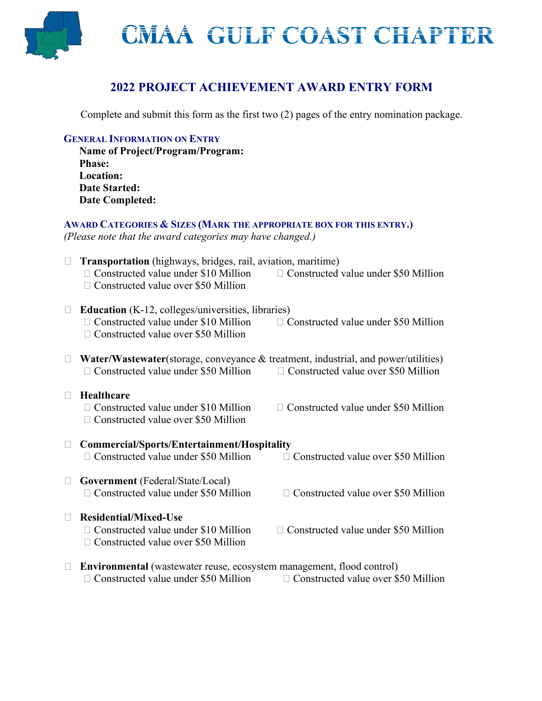

## **2022 PROJECT ACHIEVEMENT AWARD ENTRY FORM**

Complete and submit this form as the first two (2) pages of the entry nomination package.

#### **GENERAL INFORMATION ON ENTRY**

**Name of Project/Program/Program: Phase: Location: Date Started: Date Completed:**

### **AWARD CATEGORIES & SIZES (MARK THE APPROPRIATE BOX FOR THIS ENTRY.)**

*(Please note that the award categories may have changed.)*

|        | <b>Transportation</b> (highways, bridges, rail, aviation, maritime)                |                                             |
|--------|------------------------------------------------------------------------------------|---------------------------------------------|
|        | $\Box$ Constructed value under \$10 Million                                        | $\Box$ Constructed value under \$50 Million |
|        | $\Box$ Constructed value over \$50 Million                                         |                                             |
|        |                                                                                    |                                             |
|        | Education (K-12, colleges/universities, libraries)                                 |                                             |
| Ш      |                                                                                    |                                             |
|        | $\Box$ Constructed value under \$10 Million                                        | $\Box$ Constructed value under \$50 Million |
|        | $\Box$ Constructed value over \$50 Million                                         |                                             |
|        |                                                                                    |                                             |
|        | Water/Wastewater(storage, conveyance & treatment, industrial, and power/utilities) |                                             |
|        | $\Box$ Constructed value under \$50 Million                                        | $\Box$ Constructed value over \$50 Million  |
|        |                                                                                    |                                             |
|        | Healthcare                                                                         |                                             |
|        | $\Box$ Constructed value under \$10 Million                                        | $\Box$ Constructed value under \$50 Million |
|        | $\Box$ Constructed value over \$50 Million                                         |                                             |
|        |                                                                                    |                                             |
|        |                                                                                    |                                             |
| $\Box$ | Commercial/Sports/Entertainment/Hospitality                                        |                                             |
|        | $\Box$ Constructed value under \$50 Million                                        | $\Box$ Constructed value over \$50 Million  |
|        |                                                                                    |                                             |
| П      | Government (Federal/State/Local)                                                   |                                             |
|        | $\Box$ Constructed value under \$50 Million                                        | $\Box$ Constructed value over \$50 Million  |
|        |                                                                                    |                                             |
|        | <b>Residential/Mixed-Use</b>                                                       |                                             |
|        | $\Box$ Constructed value under \$10 Million                                        | $\Box$ Constructed value under \$50 Million |
|        |                                                                                    |                                             |
|        | $\Box$ Constructed value over \$50 Million                                         |                                             |
|        |                                                                                    |                                             |
| $\Box$ | <b>Environmental</b> (wastewater reuse, ecosystem management, flood control)       |                                             |